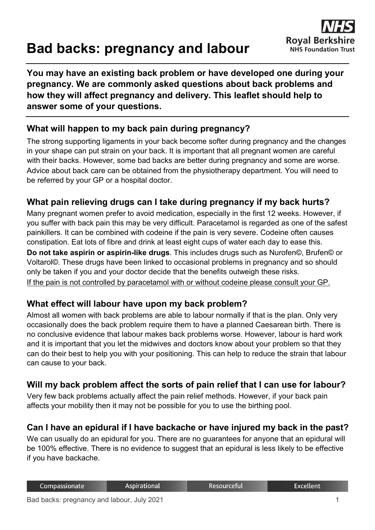# **Bad backs: pregnancy and labour**



**You may have an existing back problem or have developed one during your pregnancy. We are commonly asked questions about back problems and how they will affect pregnancy and delivery. This leaflet should help to answer some of your questions.**

## **What will happen to my back pain during pregnancy?**

The strong supporting ligaments in your back become softer during pregnancy and the changes in your shape can put strain on your back. It is important that all pregnant women are careful with their backs. However, some bad backs are better during pregnancy and some are worse. Advice about back care can be obtained from the physiotherapy department. You will need to be referred by your GP or a hospital doctor.

## **What pain relieving drugs can I take during pregnancy if my back hurts?**

Many pregnant women prefer to avoid medication, especially in the first 12 weeks. However, if you suffer with back pain this may be very difficult. Paracetamol is regarded as one of the safest painkillers. It can be combined with codeine if the pain is very severe. Codeine often causes constipation. Eat lots of fibre and drink at least eight cups of water each day to ease this. **Do not take aspirin or aspirin-like drugs**. This includes drugs such as Nurofen©, Brufen© or Voltarol©. These drugs have been linked to occasional problems in pregnancy and so should only be taken if you and your doctor decide that the benefits outweigh these risks. If the pain is not controlled by paracetamol with or without codeine please consult your GP.

#### **What effect will labour have upon my back problem?**

Almost all women with back problems are able to labour normally if that is the plan. Only very occasionally does the back problem require them to have a planned Caesarean birth. There is no conclusive evidence that labour makes back problems worse. However, labour is hard work and it is important that you let the midwives and doctors know about your problem so that they can do their best to help you with your positioning. This can help to reduce the strain that labour can cause to your back.

#### **Will my back problem affect the sorts of pain relief that I can use for labour?**

Very few back problems actually affect the pain relief methods. However, if your back pain affects your mobility then it may not be possible for you to use the birthing pool.

## **Can I have an epidural if I have backache or have injured my back in the past?**

We can usually do an epidural for you. There are no guarantees for anyone that an epidural will be 100% effective. There is no evidence to suggest that an epidural is less likely to be effective if you have backache.